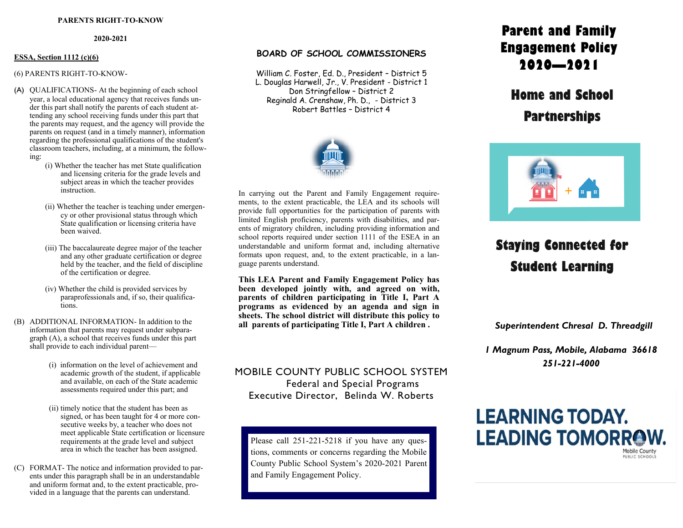#### **PARENTS RIGHT-TO-KNOW**

#### **2020-2021**

#### **ESSA, Section 1112 (c)(6)**

#### (6) PARENTS RIGHT-TO-KNOW-

- (A) QUALIFICATIONS- At the beginning of each school year, a local educational agency that receives funds under this part shall notify the parents of each student attending any school receiving funds under this part that the parents may request, and the agency will provide the parents on request (and in a timely manner), information regarding the professional qualifications of the student's classroom teachers, including, at a minimum, the following:
	- (i) Whether the teacher has met State qualification and licensing criteria for the grade levels and subject areas in which the teacher provides instruction.
	- (ii) Whether the teacher is teaching under emergency or other provisional status through which State qualification or licensing criteria have been waived.
	- (iii) The baccalaureate degree major of the teacher and any other graduate certification or degree held by the teacher, and the field of discipline of the certification or degree.
	- (iv) Whether the child is provided services by paraprofessionals and, if so, their qualifications.
- (B) ADDITIONAL INFORMATION- In addition to the information that parents may request under subparagraph (A), a school that receives funds under this part shall provide to each individual parent—
	- (i) information on the level of achievement and academic growth of the student, if applicable and available, on each of the State academic assessments required under this part; and
	- (ii) timely notice that the student has been as signed, or has been taught for 4 or more consecutive weeks by, a teacher who does not meet applicable State certification or licensure requirements at the grade level and subject area in which the teacher has been assigned.
- (C) FORMAT- The notice and information provided to parents under this paragraph shall be in an understandable and uniform format and, to the extent practicable, provided in a language that the parents can understand.

### **BOARD OF SCHOOL COMMISSIONERS**

William C. Foster, Ed. D., President – District 5 L. Douglas Harwell, Jr., V. President - District 1 Don Stringfellow – District 2 Reginald A. Crenshaw, Ph. D., - District 3 Robert Battles – District 4



In carrying out the Parent and Family Engagement requirements, to the extent practicable, the LEA and its schools will provide full opportunities for the participation of parents with limited English proficiency, parents with disabilities, and parents of migratory children, including providing information and school reports required under section 1111 of the ESEA in an understandable and uniform format and, including alternative formats upon request, and, to the extent practicable, in a language parents understand.

**This LEA Parent and Family Engagement Policy has been developed jointly with, and agreed on with, parents of children participating in Title I, Part A programs as evidenced by an agenda and sign in sheets. The school district will distribute this policy to all parents of participating Title I, Part A children .** *Superintendent Chresal D. Threadgill*

MOBILE COUNTY PUBLIC SCHOOL SYSTEM Federal and Special Programs Executive Director, Belinda W. Roberts

Please call 251-221-5218 if you have any questions, comments or concerns regarding the Mobile County Public School System's 2020-2021 Parent and Family Engagement Policy.

## **Parent and Family Engagement Policy 2020—2021**

**Home and School Partnerships** 



# **Staying Connected for Student Learning**

*1 Magnum Pass, Mobile, Alabama 36618 251-221-4000*